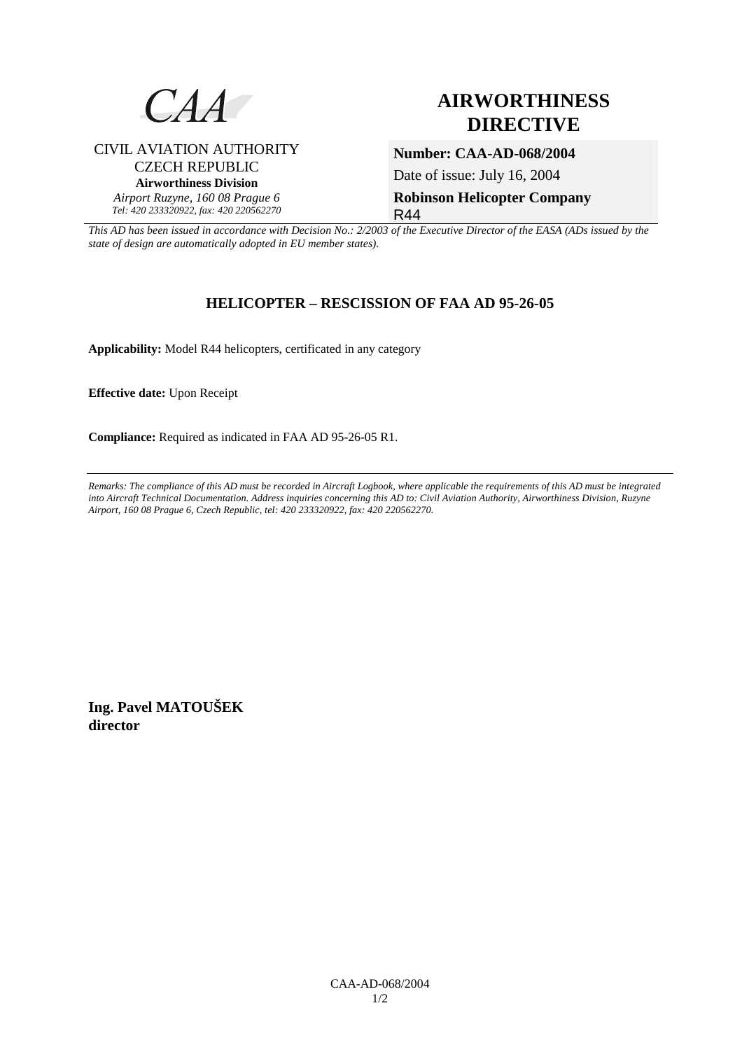

CIVIL AVIATION AUTHORITY CZECH REPUBLIC **Airworthiness Division**  *Airport Ruzyne, 160 08 Prague 6 Tel: 420 233320922, fax: 420 220562270*

## **AIRWORTHINESS DIRECTIVE**

**Number: CAA-AD-068/2004**  Date of issue: July 16, 2004

**Robinson Helicopter Company**  R44

*This AD has been issued in accordance with Decision No.: 2/2003 of the Executive Director of the EASA (ADs issued by the state of design are automatically adopted in EU member states).*

## **HELICOPTER – RESCISSION OF FAA AD 95-26-05**

**Applicability:** Model R44 helicopters, certificated in any category

**Effective date:** Upon Receipt

**Compliance:** Required as indicated in FAA AD 95-26-05 R1.

*Remarks: The compliance of this AD must be recorded in Aircraft Logbook, where applicable the requirements of this AD must be integrated into Aircraft Technical Documentation. Address inquiries concerning this AD to: Civil Aviation Authority, Airworthiness Division, Ruzyne Airport, 160 08 Prague 6, Czech Republic, tel: 420 233320922, fax: 420 220562270.* 

**Ing. Pavel MATOUŠEK director**